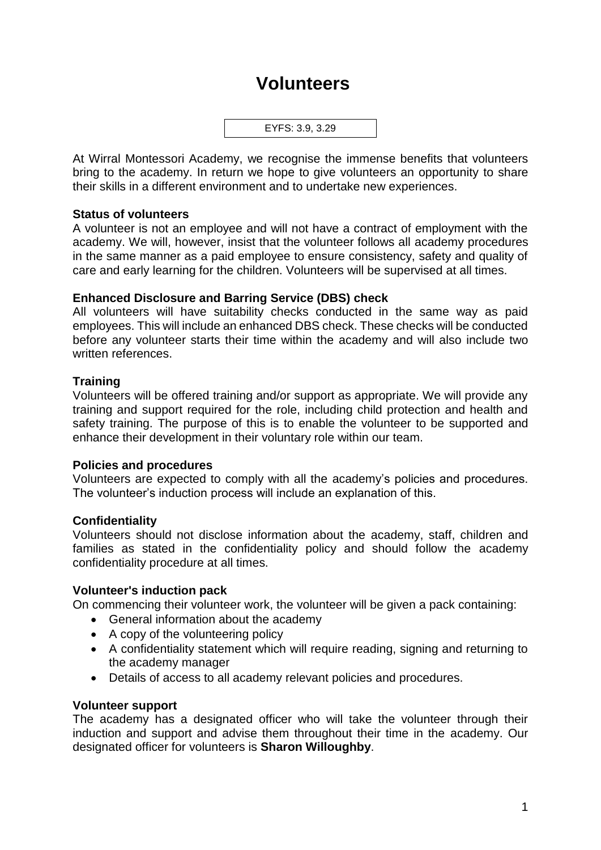# **Volunteers**



At Wirral Montessori Academy, we recognise the immense benefits that volunteers bring to the academy. In return we hope to give volunteers an opportunity to share their skills in a different environment and to undertake new experiences.

### **Status of volunteers**

A volunteer is not an employee and will not have a contract of employment with the academy. We will, however, insist that the volunteer follows all academy procedures in the same manner as a paid employee to ensure consistency, safety and quality of care and early learning for the children. Volunteers will be supervised at all times.

## **Enhanced Disclosure and Barring Service (DBS) check**

All volunteers will have suitability checks conducted in the same way as paid employees. This will include an enhanced DBS check. These checks will be conducted before any volunteer starts their time within the academy and will also include two written references.

## **Training**

Volunteers will be offered training and/or support as appropriate. We will provide any training and support required for the role, including child protection and health and safety training. The purpose of this is to enable the volunteer to be supported and enhance their development in their voluntary role within our team.

#### **Policies and procedures**

Volunteers are expected to comply with all the academy's policies and procedures. The volunteer's induction process will include an explanation of this.

## **Confidentiality**

Volunteers should not disclose information about the academy, staff, children and families as stated in the confidentiality policy and should follow the academy confidentiality procedure at all times.

#### **Volunteer's induction pack**

On commencing their volunteer work, the volunteer will be given a pack containing:

- General information about the academy
- A copy of the volunteering policy
- A confidentiality statement which will require reading, signing and returning to the academy manager
- Details of access to all academy relevant policies and procedures.

#### **Volunteer support**

The academy has a designated officer who will take the volunteer through their induction and support and advise them throughout their time in the academy. Our designated officer for volunteers is **Sharon Willoughby**.